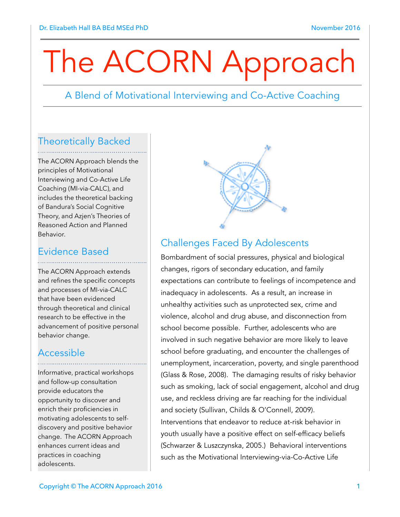# The ACORN Approach

### A Blend of Motivational Interviewing and Co-Active Coaching

#### Theoretically Backed

The ACORN Approach blends the principles of Motivational Interviewing and Co-Active Life Coaching (MI-via-CALC), and includes the theoretical backing of Bandura's Social Cognitive Theory, and Azjen's Theories of Reasoned Action and Planned Behavior.

#### Evidence Based

The ACORN Approach extends and refines the specific concepts and processes of MI-via-CALC that have been evidenced through theoretical and clinical research to be effective in the advancement of positive personal behavior change.

### Accessible

Informative, practical workshops and follow-up consultation provide educators the opportunity to discover and enrich their proficiencies in motivating adolescents to selfdiscovery and positive behavior change. The ACORN Approach enhances current ideas and practices in coaching adolescents.



## Challenges Faced By Adolescents

Bombardment of social pressures, physical and biological changes, rigors of secondary education, and family expectations can contribute to feelings of incompetence and inadequacy in adolescents. As a result, an increase in unhealthy activities such as unprotected sex, crime and violence, alcohol and drug abuse, and disconnection from school become possible. Further, adolescents who are involved in such negative behavior are more likely to leave school before graduating, and encounter the challenges of unemployment, incarceration, poverty, and single parenthood (Glass & Rose, 2008). The damaging results of risky behavior such as smoking, lack of social engagement, alcohol and drug use, and reckless driving are far reaching for the individual and society (Sullivan, Childs & O'Connell, 2009). Interventions that endeavor to reduce at-risk behavior in youth usually have a positive effect on self-efficacy beliefs (Schwarzer & Luszczynska, 2005.) Behavioral interventions such as the Motivational Interviewing-via-Co-Active Life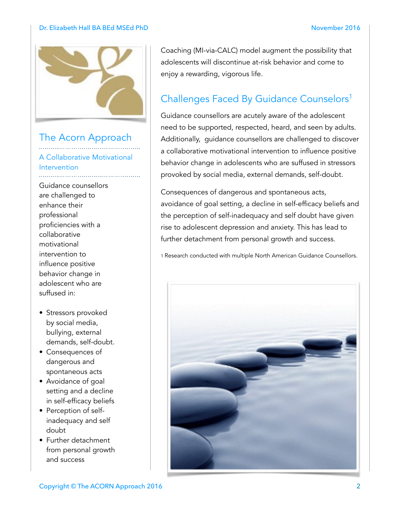#### Dr. Elizabeth Hall BA BEd MSEd PhD November 2016



### The Acorn Approach

A Collaborative Motivational Intervention 

- Guidance counsellors are challenged to enhance their professional proficiencies with a collaborative motivational intervention to influence positive behavior change in adolescent who are suffused in:
- Stressors provoked by social media, bullying, external demands, self-doubt.
- Consequences of dangerous and spontaneous acts
- Avoidance of goal setting and a decline in self-efficacy beliefs
- Perception of selfinadequacy and self doubt
- Further detachment from personal growth and success

Coaching (MI-via-CALC) model augment the possibility that adolescents will discontinue at-risk behavior and come to enjoy a rewarding, vigorous life.

# Challenges Faced By Guidance Counselors<sup>1</sup>

Guidance counsellors are acutely aware of the adolescent need to be supported, respected, heard, and seen by adults. Additionally, guidance counsellors are challenged to discover a collaborative motivational intervention to influence positive behavior change in adolescents who are suffused in stressors provoked by social media, external demands, self-doubt.

Consequences of dangerous and spontaneous acts, avoidance of goal setting, a decline in self-efficacy beliefs and the perception of self-inadequacy and self doubt have given rise to adolescent depression and anxiety. This has lead to further detachment from personal growth and success.

1 Research conducted with multiple North American Guidance Counsellors.

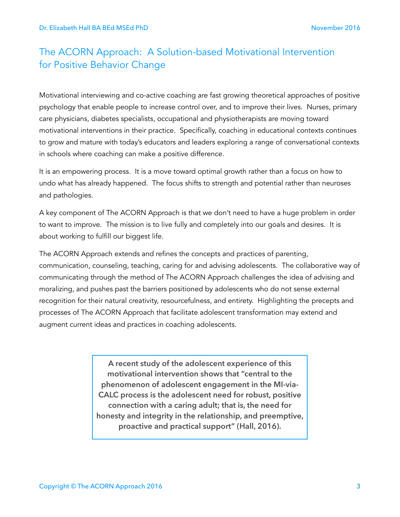# The ACORN Approach: A Solution-based Motivational Intervention for Positive Behavior Change

Motivational interviewing and co-active coaching are fast growing theoretical approaches of positive psychology that enable people to increase control over, and to improve their lives. Nurses, primary care physicians, diabetes specialists, occupational and physiotherapists are moving toward motivational interventions in their practice. Specifically, coaching in educational contexts continues to grow and mature with today's educators and leaders exploring a range of conversational contexts in schools where coaching can make a positive difference.

It is an empowering process. It is a move toward optimal growth rather than a focus on how to undo what has already happened. The focus shifts to strength and potential rather than neuroses and pathologies.

A key component of The ACORN Approach is that we don't need to have a huge problem in order to want to improve. The mission is to live fully and completely into our goals and desires. It is about working to fulfill our biggest life.

The ACORN Approach extends and refines the concepts and practices of parenting, communication, counseling, teaching, caring for and advising adolescents. The collaborative way of communicating through the method of The ACORN Approach challenges the idea of advising and moralizing, and pushes past the barriers positioned by adolescents who do not sense external recognition for their natural creativity, resourcefulness, and entirety. Highlighting the precepts and processes of The ACORN Approach that facilitate adolescent transformation may extend and augment current ideas and practices in coaching adolescents.

> **A recent study of the adolescent experience of this motivational intervention shows that "central to the phenomenon of adolescent engagement in the MI-via-CALC process is the adolescent need for robust, positive connection with a caring adult; that is, the need for honesty and integrity in the relationship, and preemptive, proactive and practical support" (Hall, 2016).**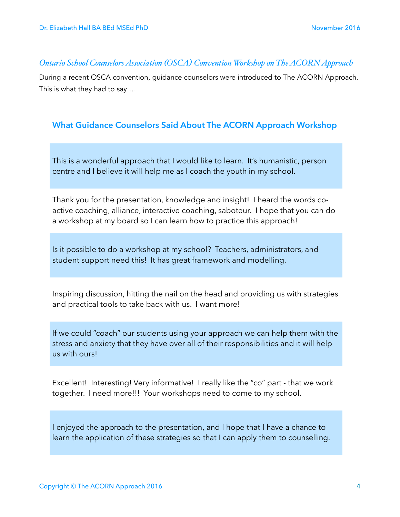#### *Ontario School Counselors Association (OSCA) Convention Workshop on The ACORN Approach*

During a recent OSCA convention, guidance counselors were introduced to The ACORN Approach. This is what they had to say …

#### **What Guidance Counselors Said About The ACORN Approach Workshop**

This is a wonderful approach that I would like to learn. It's humanistic, person centre and I believe it will help me as I coach the youth in my school.

Thank you for the presentation, knowledge and insight! I heard the words coactive coaching, alliance, interactive coaching, saboteur. I hope that you can do a workshop at my board so I can learn how to practice this approach!

Is it possible to do a workshop at my school? Teachers, administrators, and student support need this! It has great framework and modelling.

Inspiring discussion, hitting the nail on the head and providing us with strategies and practical tools to take back with us. I want more!

If we could "coach" our students using your approach we can help them with the stress and anxiety that they have over all of their responsibilities and it will help us with ours!

Excellent! Interesting! Very informative! I really like the "co" part - that we work together. I need more!!! Your workshops need to come to my school.

I enjoyed the approach to the presentation, and I hope that I have a chance to learn the application of these strategies so that I can apply them to counselling.